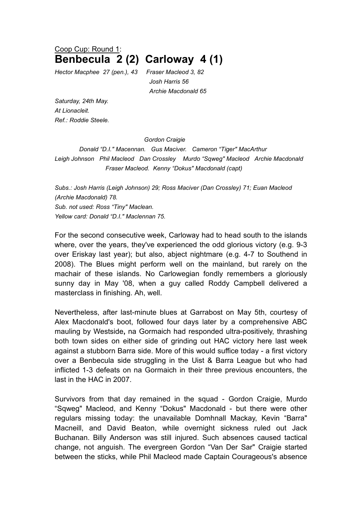## Coop Cup: Round 1: **Benbecula 2 (2) Carloway 4 (1)**

*Hector Macphee 27 (pen.), 43 Fraser Macleod 3, 82*

*Josh Harris 56 Archie Macdonald 65*

*Saturday, 24th May. At Lionacleit. Ref.: Roddie Steele.*

## *Gordon Craigie*

*Donald "D.I." Macennan. Gus Maciver. Cameron "Tiger" MacArthur Leigh Johnson Phil Macleod Dan Crossley Murdo "Sqweg" Macleod Archie Macdonald Fraser Macleod. Kenny "Dokus" Macdonald (capt)* 

*Subs.: Josh Harris (Leigh Johnson) 29; Ross Maciver (Dan Crossley) 71; Euan Macleod (Archie Macdonald) 78. Sub. not used: Ross "Tiny" Maclean. Yellow card: Donald "D.I." Maclennan 75.*

For the second consecutive week, Carloway had to head south to the islands where, over the years, they've experienced the odd glorious victory (e.g. 9-3 over Eriskay last year); but also, abject nightmare (e.g. 4-7 to Southend in 2008). The Blues might perform well on the mainland, but rarely on the machair of these islands. No Carlowegian fondly remembers a gloriously sunny day in May '08, when a guy called Roddy Campbell delivered a masterclass in finishing. Ah, well.

Nevertheless, after last-minute blues at Garrabost on May 5th, courtesy of Alex Macdonald's boot, followed four days later by a comprehensive ABC mauling by Westside**,** na Gormaich had responded ultra-positively, thrashing both town sides on either side of grinding out HAC victory here last week against a stubborn Barra side. More of this would suffice today - a first victory over a Benbecula side struggling in the Uist & Barra League but who had inflicted 1-3 defeats on na Gormaich in their three previous encounters, the last in the HAC in 2007.

Survivors from that day remained in the squad - Gordon Craigie, Murdo "Sqweg" Macleod, and Kenny "Dokus" Macdonald - but there were other regulars missing today: the unavailable Domhnall Mackay, Kevin "Barra" Macneill, and David Beaton, while overnight sickness ruled out Jack Buchanan. Billy Anderson was still injured. Such absences caused tactical change, not anguish. The evergreen Gordon "Van Der Sar" Craigie started between the sticks, while Phil Macleod made Captain Courageous's absence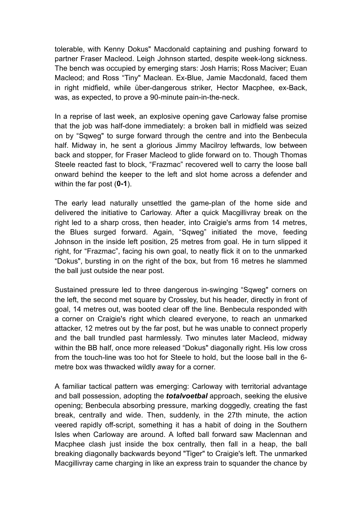tolerable, with Kenny Dokus" Macdonald captaining and pushing forward to partner Fraser Macleod. Leigh Johnson started, despite week-long sickness. The bench was occupied by emerging stars: Josh Harris; Ross Maciver; Euan Macleod; and Ross "Tiny" Maclean. Ex-Blue, Jamie Macdonald, faced them in right midfield, while über-dangerous striker, Hector Macphee, ex-Back, was, as expected, to prove a 90-minute pain-in-the-neck.

In a reprise of last week, an explosive opening gave Carloway false promise that the job was half-done immediately: a broken ball in midfield was seized on by "Sqweg" to surge forward through the centre and into the Benbecula half. Midway in, he sent a glorious Jimmy Macilroy leftwards, low between back and stopper, for Fraser Macleod to glide forward on to. Though Thomas Steele reacted fast to block, "Frazmac" recovered well to carry the loose ball onward behind the keeper to the left and slot home across a defender and within the far post (**0-1**).

The early lead naturally unsettled the game-plan of the home side and delivered the initiative to Carloway. After a quick Macgillivray break on the right led to a sharp cross, then header, into Craigie's arms from 14 metres, the Blues surged forward. Again, "Sqweg" initiated the move, feeding Johnson in the inside left position, 25 metres from goal. He in turn slipped it right, for "Frazmac", facing his own goal, to neatly flick it on to the unmarked "Dokus", bursting in on the right of the box, but from 16 metres he slammed the ball just outside the near post.

Sustained pressure led to three dangerous in-swinging "Sqweg" corners on the left, the second met square by Crossley, but his header, directly in front of goal, 14 metres out, was booted clear off the line. Benbecula responded with a corner on Craigie's right which cleared everyone, to reach an unmarked attacker, 12 metres out by the far post, but he was unable to connect properly and the ball trundled past harmlessly. Two minutes later Macleod, midway within the BB half, once more released "Dokus" diagonally right. His low cross from the touch-line was too hot for Steele to hold, but the loose ball in the 6 metre box was thwacked wildly away for a corner.

A familiar tactical pattern was emerging: Carloway with territorial advantage and ball possession, adopting the *totalvoetbal* approach, seeking the elusive opening; Benbecula absorbing pressure, marking doggedly, creating the fast break, centrally and wide. Then, suddenly, in the 27th minute, the action veered rapidly off-script, something it has a habit of doing in the Southern Isles when Carloway are around. A lofted ball forward saw Maclennan and Macphee clash just inside the box centrally, then fall in a heap, the ball breaking diagonally backwards beyond "Tiger" to Craigie's left. The unmarked Macgillivray came charging in like an express train to squander the chance by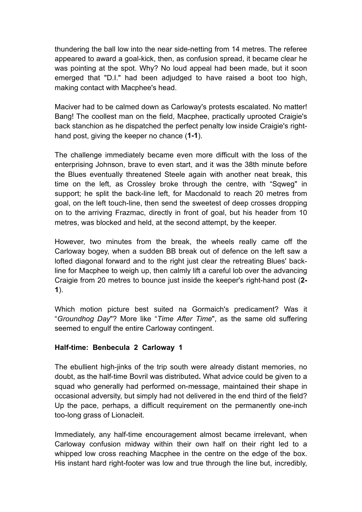thundering the ball low into the near side-netting from 14 metres. The referee appeared to award a goal-kick, then, as confusion spread, it became clear he was pointing at the spot. Why? No loud appeal had been made, but it soon emerged that "D.I." had been adjudged to have raised a boot too high, making contact with Macphee's head.

Maciver had to be calmed down as Carloway's protests escalated. No matter! Bang! The coollest man on the field, Macphee, practically uprooted Craigie's back stanchion as he dispatched the perfect penalty low inside Craigie's righthand post, giving the keeper no chance (**1-1**).

The challenge immediately became even more difficult with the loss of the enterprising Johnson, brave to even start, and it was the 38th minute before the Blues eventually threatened Steele again with another neat break, this time on the left, as Crossley broke through the centre, with "Sqweg" in support; he split the back-line left, for Macdonald to reach 20 metres from goal, on the left touch-line, then send the sweetest of deep crosses dropping on to the arriving Frazmac, directly in front of goal, but his header from 10 metres, was blocked and held, at the second attempt, by the keeper.

However, two minutes from the break, the wheels really came off the Carloway bogey, when a sudden BB break out of defence on the left saw a lofted diagonal forward and to the right just clear the retreating Blues' backline for Macphee to weigh up, then calmly lift a careful lob over the advancing Craigie from 20 metres to bounce just inside the keeper's right-hand post (**2- 1**).

Which motion picture best suited na Gormaich's predicament? Was it "*Groundhog Day*"? More like "*Time After Time*", as the same old suffering seemed to engulf the entire Carloway contingent.

## **Half-time: Benbecula 2 Carloway 1**

The ebullient high-jinks of the trip south were already distant memories, no doubt, as the half-time Bovril was distributed**.** What advice could be given to a squad who generally had performed on-message, maintained their shape in occasional adversity, but simply had not delivered in the end third of the field? Up the pace, perhaps, a difficult requirement on the permanently one-inch too-long grass of Lionacleit.

Immediately, any half-time encouragement almost became irrelevant, when Carloway confusion midway within their own half on their right led to a whipped low cross reaching Macphee in the centre on the edge of the box. His instant hard right-footer was low and true through the line but, incredibly,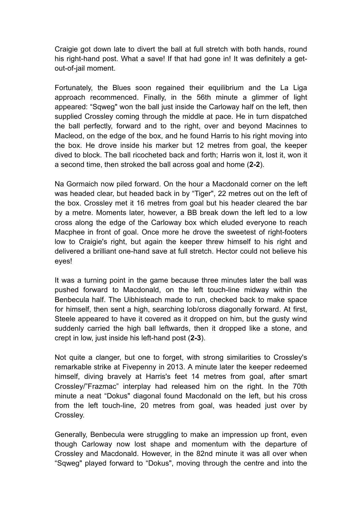Craigie got down late to divert the ball at full stretch with both hands, round his right-hand post. What a save! If that had gone in! It was definitely a getout-of-jail moment.

Fortunately, the Blues soon regained their equilibrium and the La Liga approach recommenced. Finally, in the 56th minute a glimmer of light appeared: "Sqweg" won the ball just inside the Carloway half on the left, then supplied Crossley coming through the middle at pace. He in turn dispatched the ball perfectly, forward and to the right, over and beyond Macinnes to Macleod, on the edge of the box, and he found Harris to his right moving into the box. He drove inside his marker but 12 metres from goal, the keeper dived to block. The ball ricocheted back and forth; Harris won it, lost it, won it a second time, then stroked the ball across goal and home (**2-2**).

Na Gormaich now piled forward. On the hour a Macdonald corner on the left was headed clear, but headed back in by "Tiger", 22 metres out on the left of the box. Crossley met it 16 metres from goal but his header cleared the bar by a metre. Moments later, however, a BB break down the left led to a low cross along the edge of the Carloway box which eluded everyone to reach Macphee in front of goal. Once more he drove the sweetest of right-footers low to Craigie's right, but again the keeper threw himself to his right and delivered a brilliant one-hand save at full stretch. Hector could not believe his eyes!

It was a turning point in the game because three minutes later the ball was pushed forward to Macdonald, on the left touch-line midway within the Benbecula half. The Uibhisteach made to run, checked back to make space for himself, then sent a high, searching lob/cross diagonally forward. At first, Steele appeared to have it covered as it dropped on him, but the gusty wind suddenly carried the high ball leftwards, then it dropped like a stone, and crept in low, just inside his left-hand post (**2-3**).

Not quite a clanger, but one to forget, with strong similarities to Crossley's remarkable strike at Fivepenny in 2013. A minute later the keeper redeemed himself, diving bravely at Harris's feet 14 metres from goal, after smart Crossley/"Frazmac" interplay had released him on the right. In the 70th minute a neat "Dokus" diagonal found Macdonald on the left, but his cross from the left touch-line, 20 metres from goal, was headed just over by Crossley.

Generally, Benbecula were struggling to make an impression up front, even though Carloway now lost shape and momentum with the departure of Crossley and Macdonald. However, in the 82nd minute it was all over when "Sqweg" played forward to "Dokus", moving through the centre and into the